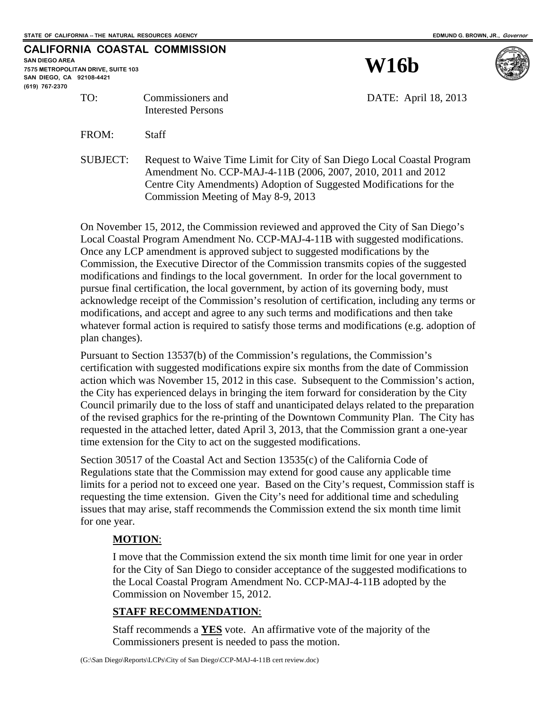## **CALIFORNIA COASTAL COMMISSION SAN DIEGO AREA**

**7575 METROPOLITAN DRIVE, SUITE 103 SAN DIEGO, CA 92108-4421 (619) 767-2370**





TO: Commissioners and DATE: April 18, 2013

FROM: Staff

Interested Persons

SUBJECT: Request to Waive Time Limit for City of San Diego Local Coastal Program Amendment No. CCP-MAJ-4-11B (2006, 2007, 2010, 2011 and 2012 Centre City Amendments) Adoption of Suggested Modifications for the Commission Meeting of May 8-9, 2013

On November 15, 2012, the Commission reviewed and approved the City of San Diego's Local Coastal Program Amendment No. CCP-MAJ-4-11B with suggested modifications. Once any LCP amendment is approved subject to suggested modifications by the Commission, the Executive Director of the Commission transmits copies of the suggested modifications and findings to the local government. In order for the local government to pursue final certification, the local government, by action of its governing body, must acknowledge receipt of the Commission's resolution of certification, including any terms or modifications, and accept and agree to any such terms and modifications and then take whatever formal action is required to satisfy those terms and modifications (e.g. adoption of plan changes).

Pursuant to Section 13537(b) of the Commission's regulations, the Commission's certification with suggested modifications expire six months from the date of Commission action which was November 15, 2012 in this case. Subsequent to the Commission's action, the City has experienced delays in bringing the item forward for consideration by the City Council primarily due to the loss of staff and unanticipated delays related to the preparation of the revised graphics for the re-printing of the Downtown Community Plan. The City has requested in the attached letter, dated April 3, 2013, that the Commission grant a one-year time extension for the City to act on the suggested modifications.

Section 30517 of the Coastal Act and Section 13535(c) of the California Code of Regulations state that the Commission may extend for good cause any applicable time limits for a period not to exceed one year. Based on the City's request, Commission staff is requesting the time extension. Given the City's need for additional time and scheduling issues that may arise, staff recommends the Commission extend the six month time limit for one year.

### **MOTION**:

I move that the Commission extend the six month time limit for one year in order for the City of San Diego to consider acceptance of the suggested modifications to the Local Coastal Program Amendment No. CCP-MAJ-4-11B adopted by the Commission on November 15, 2012.

### **STAFF RECOMMENDATION**:

Staff recommends a **YES** vote. An affirmative vote of the majority of the Commissioners present is needed to pass the motion.